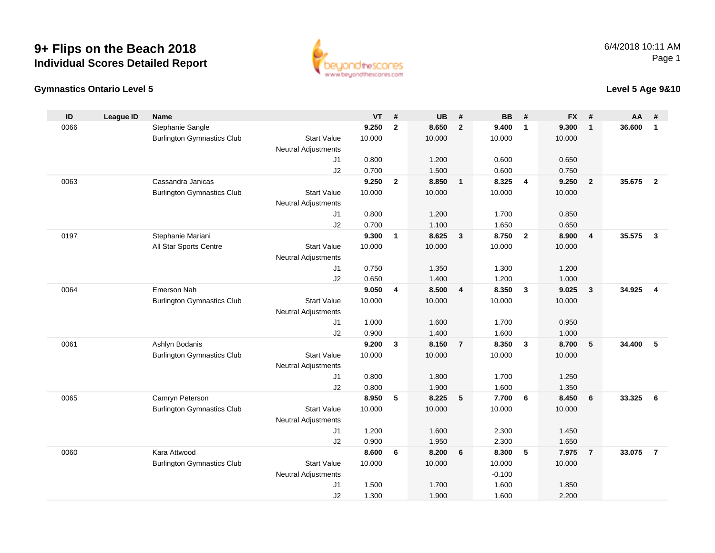# **9+ Flips on the Beach 2018Individual Scores Detailed Report**



### **Gymnastics Ontario Level 5**

**Level 5 Age 9&10**

| ID   | <b>League ID</b> | Name                              |                                  | VT     | #              | <b>UB</b>      | #               | <b>BB</b>       | #                       | <b>FX</b> | #               | AA     | #                       |
|------|------------------|-----------------------------------|----------------------------------|--------|----------------|----------------|-----------------|-----------------|-------------------------|-----------|-----------------|--------|-------------------------|
| 0066 |                  | Stephanie Sangle                  |                                  | 9.250  | $\overline{2}$ | 8.650          | $\overline{2}$  | 9.400           | $\mathbf{1}$            | 9.300     | $\overline{1}$  | 36.600 | $\mathbf{1}$            |
|      |                  | <b>Burlington Gymnastics Club</b> | <b>Start Value</b>               | 10.000 |                | 10.000         |                 | 10.000          |                         | 10.000    |                 |        |                         |
|      |                  |                                   | <b>Neutral Adjustments</b>       |        |                |                |                 |                 |                         |           |                 |        |                         |
|      |                  |                                   | J1                               | 0.800  |                | 1.200          |                 | 0.600           |                         | 0.650     |                 |        |                         |
|      |                  |                                   | J2                               | 0.700  |                | 1.500          |                 | 0.600           |                         | 0.750     |                 |        |                         |
| 0063 |                  | Cassandra Janicas                 |                                  | 9.250  | $\overline{2}$ | 8.850          | $\mathbf{1}$    | 8.325           | $\overline{4}$          | 9.250     | $\overline{2}$  | 35.675 | $\overline{2}$          |
|      |                  | <b>Burlington Gymnastics Club</b> | <b>Start Value</b>               | 10.000 |                | 10.000         |                 | 10.000          |                         | 10.000    |                 |        |                         |
|      |                  |                                   | <b>Neutral Adjustments</b>       |        |                |                |                 |                 |                         |           |                 |        |                         |
|      |                  |                                   | J1                               | 0.800  |                | 1.200          |                 | 1.700           |                         | 0.850     |                 |        |                         |
|      |                  |                                   | J2                               | 0.700  |                | 1.100          |                 | 1.650           |                         | 0.650     |                 |        |                         |
| 0197 |                  | Stephanie Mariani                 |                                  | 9.300  | $\mathbf{1}$   | 8.625          | $\mathbf{3}$    | 8.750           | $\overline{2}$          | 8.900     | $\overline{4}$  | 35.575 | $\mathbf{3}$            |
|      |                  | All Star Sports Centre            | <b>Start Value</b>               | 10.000 |                | 10.000         |                 | 10.000          |                         | 10.000    |                 |        |                         |
|      |                  |                                   | <b>Neutral Adjustments</b>       |        |                |                |                 |                 |                         |           |                 |        |                         |
|      |                  |                                   | J1                               | 0.750  |                | 1.350          |                 | 1.300           |                         | 1.200     |                 |        |                         |
|      |                  |                                   | J2                               | 0.650  |                | 1.400          |                 | 1.200           |                         | 1.000     |                 |        |                         |
| 0064 |                  | <b>Emerson Nah</b>                |                                  | 9.050  | $\overline{4}$ | 8.500          | $\overline{4}$  | 8.350           | $\overline{\mathbf{3}}$ | 9.025     | $\mathbf{3}$    | 34.925 | $\overline{\mathbf{4}}$ |
|      |                  | <b>Burlington Gymnastics Club</b> | <b>Start Value</b>               | 10.000 |                | 10.000         |                 | 10.000          |                         | 10.000    |                 |        |                         |
|      |                  |                                   | <b>Neutral Adjustments</b>       |        |                |                |                 |                 |                         |           |                 |        |                         |
|      |                  |                                   | J1                               | 1.000  |                | 1.600          |                 | 1.700           |                         | 0.950     |                 |        |                         |
| 0061 |                  |                                   | J2                               | 0.900  | $\mathbf{3}$   | 1.400<br>8.150 | $\overline{7}$  | 1.600           | $\overline{\mathbf{3}}$ | 1.000     |                 | 34,400 | 5                       |
|      |                  | Ashlyn Bodanis                    | <b>Start Value</b>               | 9.200  |                | 10.000         |                 | 8.350<br>10.000 |                         | 8.700     | $5\phantom{.0}$ |        |                         |
|      |                  | <b>Burlington Gymnastics Club</b> |                                  | 10.000 |                |                |                 |                 |                         | 10.000    |                 |        |                         |
|      |                  |                                   | <b>Neutral Adjustments</b><br>J1 | 0.800  |                | 1.800          |                 | 1.700           |                         | 1.250     |                 |        |                         |
|      |                  |                                   | J2                               | 0.800  |                | 1.900          |                 | 1.600           |                         | 1.350     |                 |        |                         |
| 0065 |                  | Camryn Peterson                   |                                  | 8.950  | 5              | 8.225          | $5\phantom{.0}$ | 7.700           | 6                       | 8.450     | 6               | 33.325 | 6                       |
|      |                  | <b>Burlington Gymnastics Club</b> | <b>Start Value</b>               | 10.000 |                | 10.000         |                 | 10.000          |                         | 10.000    |                 |        |                         |
|      |                  |                                   | <b>Neutral Adjustments</b>       |        |                |                |                 |                 |                         |           |                 |        |                         |
|      |                  |                                   | J1                               | 1.200  |                | 1.600          |                 | 2.300           |                         | 1.450     |                 |        |                         |
|      |                  |                                   | J2                               | 0.900  |                | 1.950          |                 | 2.300           |                         | 1.650     |                 |        |                         |
| 0060 |                  | Kara Attwood                      |                                  | 8.600  | 6              | 8.200          | $6\phantom{1}6$ | 8.300           | 5                       | 7.975     | $\overline{7}$  | 33.075 | $\overline{7}$          |
|      |                  | <b>Burlington Gymnastics Club</b> | <b>Start Value</b>               | 10.000 |                | 10.000         |                 | 10.000          |                         | 10.000    |                 |        |                         |
|      |                  |                                   | <b>Neutral Adjustments</b>       |        |                |                |                 | $-0.100$        |                         |           |                 |        |                         |
|      |                  |                                   | J1                               | 1.500  |                | 1.700          |                 | 1.600           |                         | 1.850     |                 |        |                         |
|      |                  |                                   | J2                               | 1.300  |                | 1.900          |                 | 1.600           |                         | 2.200     |                 |        |                         |
|      |                  |                                   |                                  |        |                |                |                 |                 |                         |           |                 |        |                         |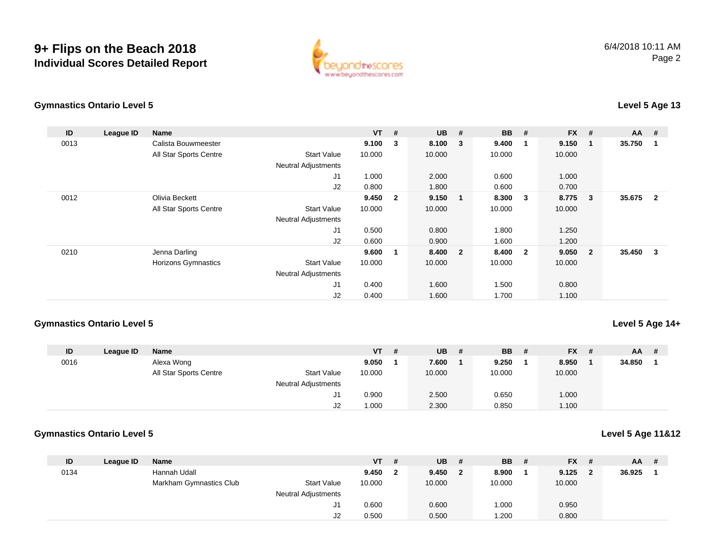## **9+ Flips on the Beach 2018Individual Scores Detailed Report**



### **Gymnastics Ontario Level 5**

## **Level 5 Age 13**

| ID   | League ID | Name                   |                            | $VT$ # |                         | <b>UB</b> | #                       | <b>BB</b> | #                       | <b>FX</b> | #              | $AA$ # |                         |
|------|-----------|------------------------|----------------------------|--------|-------------------------|-----------|-------------------------|-----------|-------------------------|-----------|----------------|--------|-------------------------|
| 0013 |           | Calista Bouwmeester    |                            | 9.100  | 3                       | 8.100     | $\overline{\mathbf{3}}$ | 9.400     | $\overline{\mathbf{1}}$ | 9.150     |                | 35.750 |                         |
|      |           | All Star Sports Centre | <b>Start Value</b>         | 10.000 |                         | 10.000    |                         | 10.000    |                         | 10.000    |                |        |                         |
|      |           |                        | <b>Neutral Adjustments</b> |        |                         |           |                         |           |                         |           |                |        |                         |
|      |           |                        | J <sub>1</sub>             | 1.000  |                         | 2.000     |                         | 0.600     |                         | 1.000     |                |        |                         |
|      |           |                        | J2                         | 0.800  |                         | 1.800     |                         | 0.600     |                         | 0.700     |                |        |                         |
| 0012 |           | Olivia Beckett         |                            | 9.450  | $\overline{\mathbf{2}}$ | 9.150     | $\blacksquare$          | 8.300     | - 3                     | 8.775     | 3              | 35.675 | $\overline{\mathbf{2}}$ |
|      |           | All Star Sports Centre | <b>Start Value</b>         | 10.000 |                         | 10.000    |                         | 10.000    |                         | 10.000    |                |        |                         |
|      |           |                        | <b>Neutral Adjustments</b> |        |                         |           |                         |           |                         |           |                |        |                         |
|      |           |                        | J1                         | 0.500  |                         | 0.800     |                         | 1.800     |                         | 1.250     |                |        |                         |
|      |           |                        | J2                         | 0.600  |                         | 0.900     |                         | 1.600     |                         | 1.200     |                |        |                         |
| 0210 |           | Jenna Darling          |                            | 9.600  |                         | 8.400 2   |                         | 8.400     | $\overline{\mathbf{2}}$ | 9.050     | $\overline{2}$ | 35.450 | 3                       |
|      |           | Horizons Gymnastics    | <b>Start Value</b>         | 10.000 |                         | 10.000    |                         | 10.000    |                         | 10.000    |                |        |                         |
|      |           |                        | <b>Neutral Adjustments</b> |        |                         |           |                         |           |                         |           |                |        |                         |
|      |           |                        | J <sub>1</sub>             | 0.400  |                         | 1.600     |                         | 1.500     |                         | 0.800     |                |        |                         |
|      |           |                        | J2                         | 0.400  |                         | 1.600     |                         | 1.700     |                         | 1.100     |                |        |                         |

### **Gymnastics Ontario Level 5**

### **Level 5 Age 14+**

**Level 5 Age 11&12**

| ID   | League ID | Name                   |                            | VT l   | -# | <b>UB</b> | <b>BB</b> | - # | <b>FX</b> | -# | <b>AA</b> | # |
|------|-----------|------------------------|----------------------------|--------|----|-----------|-----------|-----|-----------|----|-----------|---|
| 0016 |           | Alexa Wong             |                            | 9.050  |    | 7.600     | 9.250     |     | 8.950     |    | 34.850    |   |
|      |           | All Star Sports Centre | <b>Start Value</b>         | 10.000 |    | 10.000    | 10.000    |     | 10.000    |    |           |   |
|      |           |                        | <b>Neutral Adjustments</b> |        |    |           |           |     |           |    |           |   |
|      |           |                        | J1                         | 0.900  |    | 2.500     | 0.650     |     | 1.000     |    |           |   |
|      |           |                        | J2                         | 1.000  |    | 2.300     | 0.850     |     | 1.100     |    |           |   |

### **Gymnastics Ontario Level 5**

| ID   | League ID | <b>Name</b>             |                            | $VT$ # |              | <b>UB</b> | - #          | <b>BB</b> # | $FX$ # |   | $AA$ # |  |
|------|-----------|-------------------------|----------------------------|--------|--------------|-----------|--------------|-------------|--------|---|--------|--|
| 0134 |           | Hannah Udall            |                            | 9.450  | $\mathbf{2}$ | 9.450     | $\mathbf{2}$ | 8.900       | 9.125  | 2 | 36.925 |  |
|      |           | Markham Gymnastics Club | <b>Start Value</b>         | 10.000 |              | 10.000    |              | 10.000      | 10.000 |   |        |  |
|      |           |                         | <b>Neutral Adjustments</b> |        |              |           |              |             |        |   |        |  |
|      |           |                         | J1                         | 0.600  |              | 0.600     |              | 1.000       | 0.950  |   |        |  |
|      |           |                         | J2                         | 0.500  |              | 0.500     |              | .200        | 0.800  |   |        |  |